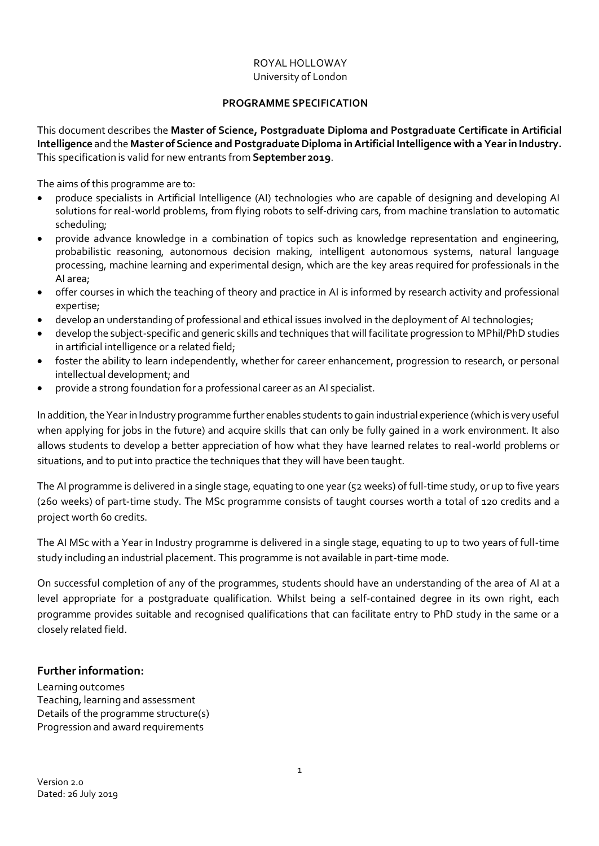### ROYAL HOLLOWAY University of London

## **PROGRAMME SPECIFICATION**

This document describes the **Master of Science, Postgraduate Diploma and Postgraduate Certificate in Artificial Intelligence** and the **Master of Science and Postgraduate Diploma in Artificial Intelligence with a Year in Industry.** This specification is valid for new entrants from **September 2019**.

The aims of this programme are to:

- produce specialists in Artificial Intelligence (AI) technologies who are capable of designing and developing AI solutions for real-world problems, from flying robots to self-driving cars, from machine translation to automatic scheduling;
- provide advance knowledge in a combination of topics such as knowledge representation and engineering, probabilistic reasoning, autonomous decision making, intelligent autonomous systems, natural language processing, machine learning and experimental design, which are the key areas required for professionals in the AI area;
- offer courses in which the teaching of theory and practice in AI is informed by research activity and professional expertise;
- develop an understanding of professional and ethical issues involved in the deployment of AI technologies;
- develop the subject‐specific and generic skills and techniques that will facilitate progression to MPhil/PhD studies in artificial intelligence or a related field;
- foster the ability to learn independently, whether for career enhancement, progression to research, or personal intellectual development; and
- provide a strong foundation for a professional career as an AI specialist.

In addition, the Year in Industry programme further enables students to gain industrial experience (which is very useful when applying for jobs in the future) and acquire skills that can only be fully gained in a work environment. It also allows students to develop a better appreciation of how what they have learned relates to real-world problems or situations, and to put into practice the techniques that they will have been taught.

The AI programme is delivered in a single stage, equating to one year (52 weeks) of full-time study, or up to five years (260 weeks) of part-time study. The MSc programme consists of taught courses worth a total of 120 credits and a project worth 60 credits.

The AI MSc with a Year in Industry programme is delivered in a single stage, equating to up to two years of full-time study including an industrial placement. This programme is not available in part-time mode.

On successful completion of any of the programmes, students should have an understanding of the area of AI at a level appropriate for a postgraduate qualification. Whilst being a self-contained degree in its own right, each programme provides suitable and recognised qualifications that can facilitate entry to PhD study in the same or a closely related field.

## <span id="page-0-0"></span>**Further information:**

Learning [outcomes](#page-1-0) Teaching, learning and [assessment](#page-2-0) [Details of the programme structure\(s\)](#page-2-1) Progression and award [requirements](#page-4-0)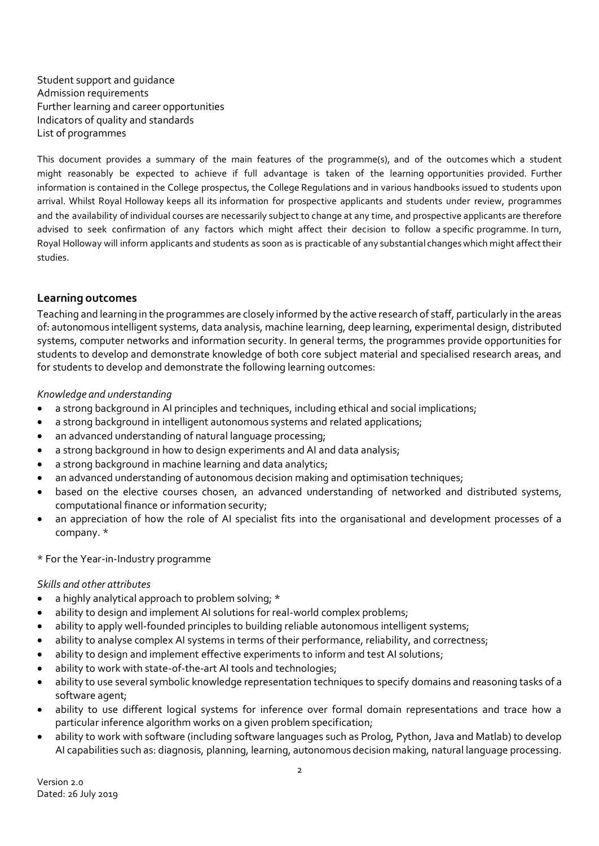[Student support and guidance](#page-5-0) [Admission requirements](#page-6-0) [Further learning and career opportunities](#page-6-1) [Indicators of quality and standards](#page-6-2) [List of programmes](#page-7-0)

This document provides a summary of the main features of the programme(s), and of the outcomes which a student might reasonably be expected to achieve if full advantage is taken of the learning opportunities provided. Further information is contained in the College prospectus, the College Regulations and in various handbooks issued to students upon arrival. Whilst Royal Holloway keeps all its information for prospective applicants and students under review, programmes and the availability of individual courses are necessarily subject to change at any time, and prospective applicants are therefore advised to seek confirmation of any factors which might affect their decision to follow a specific programme. In turn, Royal Holloway will inform applicants and students as soon as is practicable of any substantial changes which might affect their studies.

# <span id="page-1-0"></span>**Learning outcomes**

Teaching and learning in the programmes are closely informed by the active research of staff, particularly in the areas of: autonomous intelligent systems, data analysis, machine learning, deep learning, experimental design, distributed systems, computer networks and information security. In general terms, the programmes provide opportunities for students to develop and demonstrate knowledge of both core subject material and specialised research areas, and for students to develop and demonstrate the following learning outcomes:

## *Knowledge and understanding*

- a strong background in AI principles and techniques, including ethical and social implications;
- a strong background in intelligent autonomous systems and related applications;
- an advanced understanding of natural language processing;
- a strong background in how to design experiments and AI and data analysis;
- a strong background in machine learning and data analytics;
- an advanced understanding of autonomous decision making and optimisation techniques;
- based on the elective courses chosen, an advanced understanding of networked and distributed systems, computational finance or information security;
- an appreciation of how the role of AI specialist fits into the organisational and development processes of a company. \*

## \* For the Year-in-Industry programme

## *Skills and other attributes*

- a highly analytical approach to problem solving; \*
- ability to design and implement AI solutions for real-world complex problems;
- ability to apply well-founded principles to building reliable autonomous intelligent systems;
- ability to analyse complex AI systems in terms of their performance, reliability, and correctness;
- ability to design and implement effective experiments to inform and test AI solutions;
- ability to work with state-of-the-art AI tools and technologies;
- ability to use several symbolic knowledge representation techniques to specify domains and reasoning tasks of a software agent;
- ability to use different logical systems for inference over formal domain representations and trace how a particular inference algorithm works on a given problem specification;
- ability to work with software (including software languages such as Prolog, Python, Java and Matlab) to develop AI capabilities such as: diagnosis, planning, learning, autonomous decision making, natural language processing.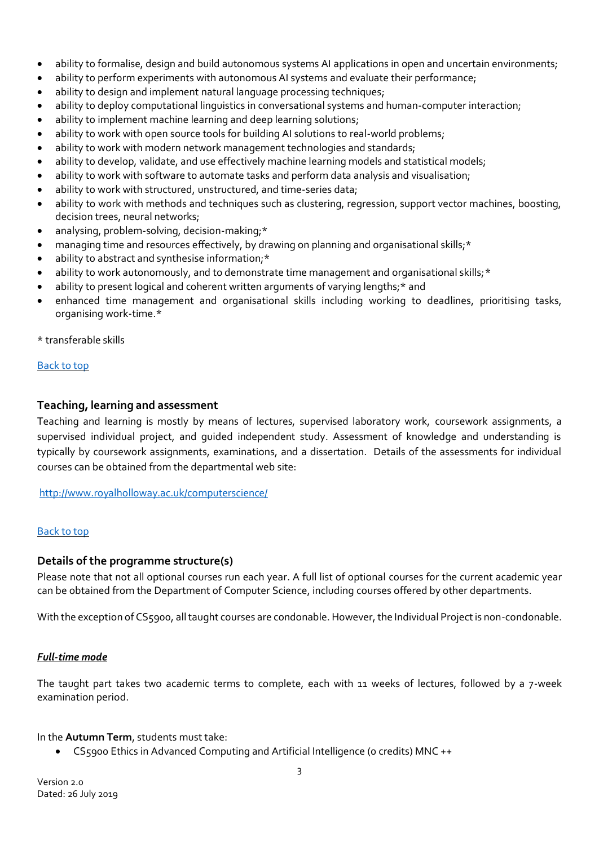- ability to formalise, design and build autonomous systems AI applications in open and uncertain environments;
- ability to perform experiments with autonomous AI systems and evaluate their performance;
- ability to design and implement natural language processing techniques;
- ability to deploy computational linguistics in conversational systems and human-computer interaction;
- ability to implement machine learning and deep learning solutions;
- ability to work with open source tools for building AI solutions to real-world problems;
- ability to work with modern network management technologies and standards;
- ability to develop, validate, and use effectively machine learning models and statistical models;
- ability to work with software to automate tasks and perform data analysis and visualisation;
- ability to work with structured, unstructured, and time-series data;
- ability to work with methods and techniques such as clustering, regression, support vector machines, boosting, decision trees, neural networks;
- analysing, problem-solving, decision-making;\*
- managing time and resources effectively, by drawing on planning and organisational skills;\*
- ability to abstract and synthesise information;\*
- ability to work autonomously, and to demonstrate time management and organisational skills; \*
- ability to present logical and coherent written arguments of varying lengths;\* and
- enhanced time management and organisational skills including working to deadlines, prioritising tasks, organising work-time.\*

\* transferable skills

### [Back](#page-0-0) to top

### <span id="page-2-0"></span>**Teaching, learning and assessment**

Teaching and learning is mostly by means of lectures, supervised laboratory work, coursework assignments, a supervised individual project, and guided independent study. Assessment of knowledge and understanding is typically by coursework assignments, examinations, and a dissertation. Details of the assessments for individual courses can be obtained from the departmental web site:

<http://www.royalholloway.ac.uk/computerscience/>

### [Back](#page-0-0) to top

### <span id="page-2-1"></span>**Details of the programme structure(s)**

Please note that not all optional courses run each year. A full list of optional courses for the current academic year can be obtained from the Department of Computer Science, including courses offered by other departments.

With the exception of CS5900, all taught courses are condonable. However, the Individual Project is non-condonable.

### *Full-time mode*

The taught part takes two academic terms to complete, each with 11 weeks of lectures, followed by a 7-week examination period.

### In the **Autumn Term**, students must take:

• CS5900 Ethics in Advanced Computing and Artificial Intelligence (0 credits) MNC ++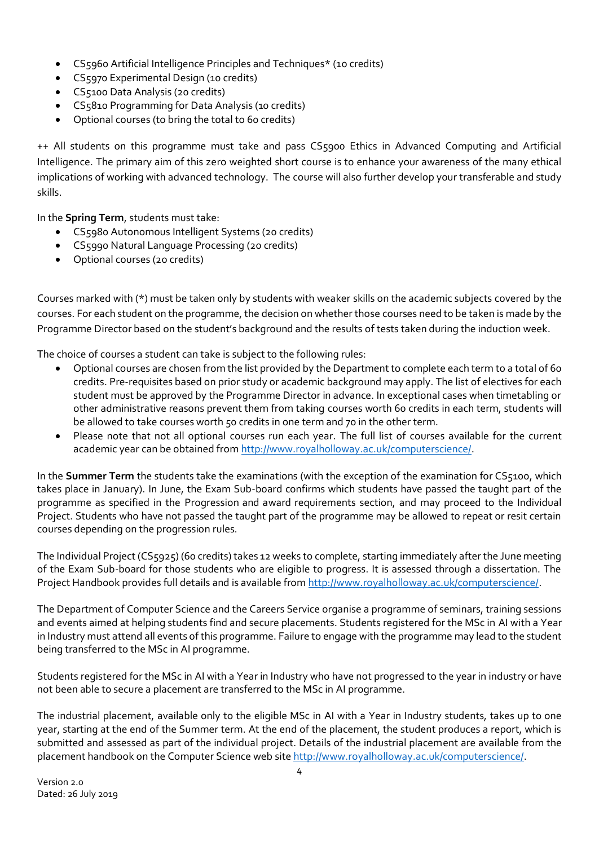- CS5960 Artificial Intelligence Principles and Techniques\* (10 credits)
- CS5970 Experimental Design (10 credits)
- CS5100 Data Analysis (20 credits)
- CS5810 Programming for Data Analysis (10 credits)
- Optional courses (to bring the total to 60 credits)

++ All students on this programme must take and pass CS5900 Ethics in Advanced Computing and Artificial Intelligence. The primary aim of this zero weighted short course is to enhance your awareness of the many ethical implications of working with advanced technology. The course will also further develop your transferable and study skills.

In the **Spring Term**, students must take:

- CS5980 Autonomous Intelligent Systems (20 credits)
- CS5990 Natural Language Processing (20 credits)
- Optional courses (20 credits)

Courses marked with (\*) must be taken only by students with weaker skills on the academic subjects covered by the courses. For each student on the programme, the decision on whether those courses need to be taken is made by the Programme Director based on the student's background and the results of tests taken during the induction week.

The choice of courses a student can take is subject to the following rules:

- Optional courses are chosen from the list provided by the Department to complete each term to a total of 60 credits. Pre-requisites based on prior study or academic background may apply. The list of electives for each student must be approved by the Programme Director in advance. In exceptional cases when timetabling or other administrative reasons prevent them from taking courses worth 60 credits in each term, students will be allowed to take courses worth 50 credits in one term and 70 in the other term.
- Please note that not all optional courses run each year. The full list of courses available for the current academic year can be obtained fro[m http://www.royalholloway.ac.uk/computerscience/.](http://www.royalholloway.ac.uk/computerscience/)

In the **Summer Term** the students take the examinations (with the exception of the examination for CS5100, which takes place in January). In June, the Exam Sub-board confirms which students have passed the taught part of the programme as specified in the Progression and award [requirements](#page-4-0) section, and may proceed to the Individual Project. Students who have not passed the taught part of the programme may be allowed to repeat or resit certain courses depending on the progression rules.

The Individual Project (CS5925) (60 credits) takes 12 weeks to complete, starting immediately after the June meeting of the Exam Sub-board for those students who are eligible to progress. It is assessed through a dissertation. The Project Handbook provides full details and is available fro[m http://www.royalholloway.ac.uk/computerscience/.](http://www.royalholloway.ac.uk/computerscience/)

The Department of Computer Science and the Careers Service organise a programme of seminars, training sessions and events aimed at helping students find and secure placements. Students registered for the MSc in AI with a Year in Industry must attend all events of this programme. Failure to engage with the programme may lead to the student being transferred to the MSc in AI programme.

Students registered for the MSc in AI with a Year in Industry who have not progressed to the year in industry or have not been able to secure a placement are transferred to the MSc in AI programme.

The industrial placement, available only to the eligible MSc in AI with a Year in Industry students, takes up to one year, starting at the end of the Summer term. At the end of the placement, the student produces a report, which is submitted and assessed as part of the individual project. Details of the industrial placement are available from the placement handbook on the Computer Science web site [http://www.royalholloway.ac.uk/computerscience/.](http://www.royalholloway.ac.uk/computerscience/)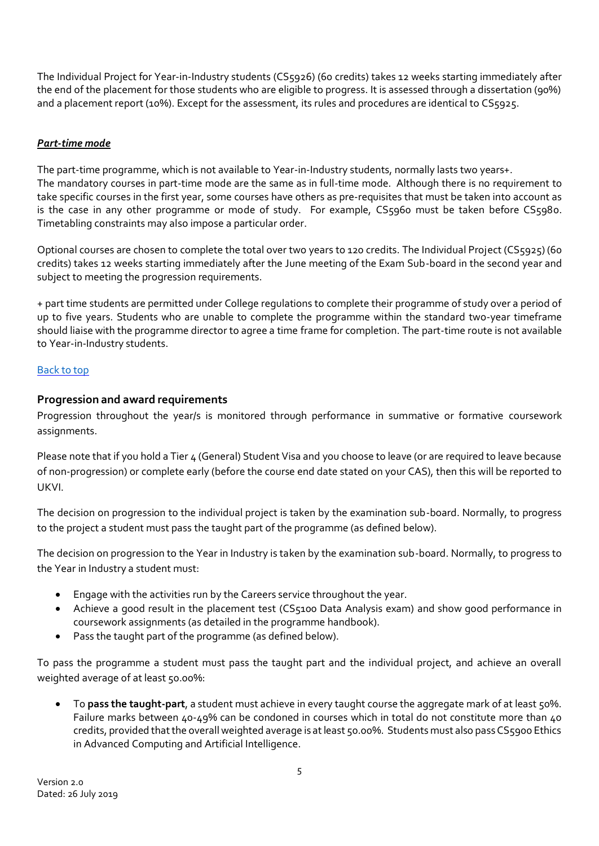The Individual Project for Year-in-Industry students (CS5926) (60 credits) takes 12 weeks starting immediately after the end of the placement for those students who are eligible to progress. It is assessed through a dissertation (90%) and a placement report (10%). Except for the assessment, its rules and procedures are identical to CS5925.

# *Part-time mode*

The part-time programme, which is not available to Year-in-Industry students, normally lasts two years+. The mandatory courses in part-time mode are the same as in full-time mode. Although there is no requirement to take specific courses in the first year, some courses have others as pre-requisites that must be taken into account as is the case in any other programme or mode of study. For example, CS5960 must be taken before CS5980. Timetabling constraints may also impose a particular order.

Optional courses are chosen to complete the total over two years to 120 credits. The Individual Project (CS5925) (60 credits) takes 12 weeks starting immediately after the June meeting of the Exam Sub-board in the second year and subject to meeting the progression requirements.

+ part time students are permitted under College regulations to complete their programme of study over a period of up to five years. Students who are unable to complete the programme within the standard two-year timeframe should liaise with the programme director to agree a time frame for completion. The part-time route is not available to Year-in-Industry students.

# [Back](#page-0-0) to top

# <span id="page-4-0"></span>**Progression and award requirements**

Progression throughout the year/s is monitored through performance in summative or formative coursework assignments.

Please note that if you hold a Tier 4 (General) Student Visa and you choose to leave (or are required to leave because of non-progression) or complete early (before the course end date stated on your CAS), then this will be reported to UKVI.

The decision on progression to the individual project is taken by the examination sub-board. Normally, to progress to the project a student must pass the taught part of the programme (as defined below).

The decision on progression to the Year in Industry is taken by the examination sub-board. Normally, to progress to the Year in Industry a student must:

- Engage with the activities run by the Careers service throughout the year.
- Achieve a good result in the placement test (CS5100 Data Analysis exam) and show good performance in coursework assignments (as detailed in the programme handbook).
- Pass the taught part of the programme (as defined below).

To pass the programme a student must pass the taught part and the individual project, and achieve an overall weighted average of at least 50.00%:

To **pass the taught-part**, a student must achieve in every taught course the aggregate mark of at least 50%. Failure marks between 40-49% can be condoned in courses which in total do not constitute more than 40 credits, provided that the overall weighted average is at least 50.00%. Students must also pass CS5900 Ethics in Advanced Computing and Artificial Intelligence.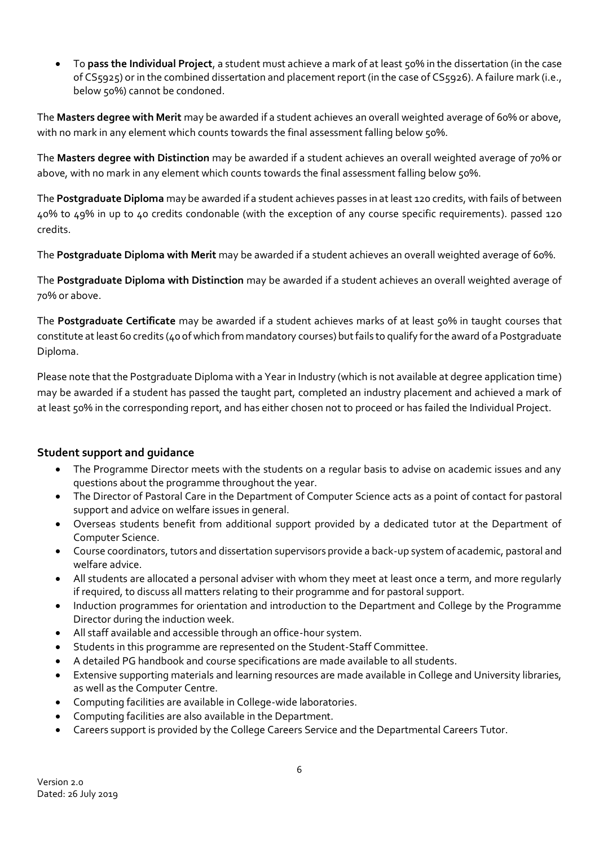• To **pass the Individual Project**, a student must achieve a mark of at least 50% in the dissertation (in the case of CS5925) or in the combined dissertation and placement report (in the case of CS5926). A failure mark (i.e., below 50%) cannot be condoned.

The **Masters degree with Merit** may be awarded if a student achieves an overall weighted average of 60% or above, with no mark in any element which counts towards the final assessment falling below 50%.

The **Masters degree with Distinction** may be awarded if a student achieves an overall weighted average of 70% or above, with no mark in any element which counts towards the final assessment falling below 50%.

The **Postgraduate Diploma** may be awarded if a student achieves passes in at least 120 credits, with fails of between 40% to 49% in up to 40 credits condonable (with the exception of any course specific requirements). passed 120 credits.

The **Postgraduate Diploma with Merit** may be awarded if a student achieves an overall weighted average of 60%.

The **Postgraduate Diploma with Distinction** may be awarded if a student achieves an overall weighted average of 70% or above.

The **Postgraduate Certificate** may be awarded if a student achieves marks of at least 50% in taught courses that constitute at least 60 credits (40 of which from mandatory courses) but fails to qualify for the award of a Postgraduate Diploma.

Please note that the Postgraduate Diploma with a Year in Industry (which is not available at degree application time) may be awarded if a student has passed the taught part, completed an industry placement and achieved a mark of at least 50% in the corresponding report, and has either chosen not to proceed or has failed the Individual Project.

# <span id="page-5-0"></span>**Student support and guidance**

- The Programme Director meets with the students on a regular basis to advise on academic issues and any questions about the programme throughout the year.
- The Director of Pastoral Care in the Department of Computer Science acts as a point of contact for pastoral support and advice on welfare issues in general.
- Overseas students benefit from additional support provided by a dedicated tutor at the Department of Computer Science.
- Course coordinators, tutors and dissertation supervisors provide a back-up system of academic, pastoral and welfare advice.
- All students are allocated a personal adviser with whom they meet at least once a term, and more regularly if required, to discuss all matters relating to their programme and for pastoral support.
- Induction programmes for orientation and introduction to the Department and College by the Programme Director during the induction week.
- All staff available and accessible through an office-hour system.
- Students in this programme are represented on the Student-Staff Committee.
- A detailed PG handbook and course specifications are made available to all students.
- Extensive supporting materials and learning resources are made available in College and University libraries, as well as the Computer Centre.
- Computing facilities are available in College-wide laboratories.
- Computing facilities are also available in the Department.
- Careers support is provided by the College Careers Service and the Departmental Careers Tutor.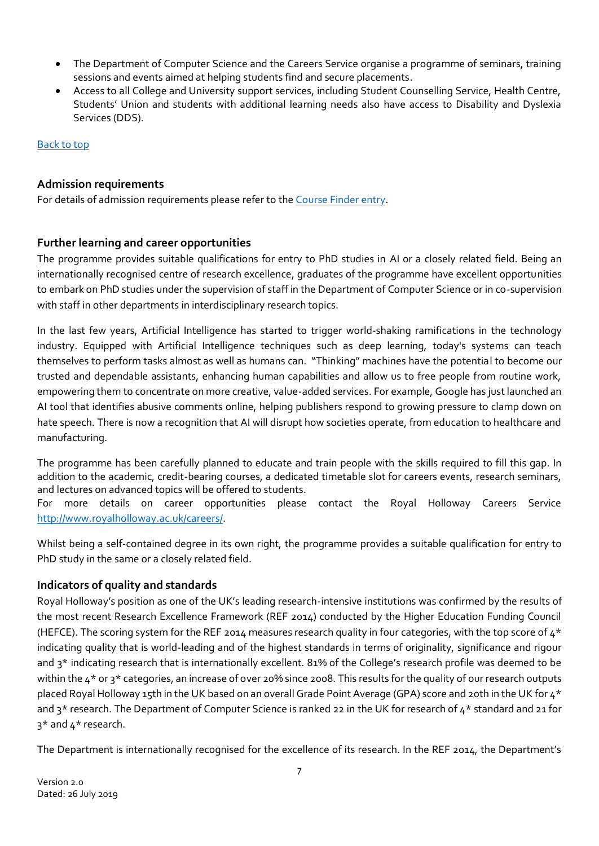- The Department of Computer Science and the Careers Service organise a programme of seminars, training sessions and events aimed at helping students find and secure placements.
- Access to all College and University support services, including Student Counselling Service, Health Centre, Students' Union and students with additional learning needs also have access to Disability and Dyslexia Services (DDS).

## [Back to top](#page-0-0)

# <span id="page-6-0"></span>**Admission requirements**

For details of admission requirements please refer to the Course [Finder entry.](https://www.royalholloway.ac.uk/computerscience/coursefinder/msctheinternetofthings.aspx)

# <span id="page-6-1"></span>**Further learning and career opportunities**

The programme provides suitable qualifications for entry to PhD studies in AI or a closely related field. Being an internationally recognised centre of research excellence, graduates of the programme have excellent opportunities to embark on PhD studies under the supervision of staff in the Department of Computer Science or in co-supervision with staff in other departments in interdisciplinary research topics.

In the last few years, Artificial Intelligence has started to trigger world-shaking ramifications in the technology industry. Equipped with Artificial Intelligence techniques such as deep learning, today's systems can teach themselves to perform tasks almost as well as humans can. "Thinking" machines have the potential to become our trusted and dependable assistants, enhancing human capabilities and allow us to free people from routine work, empowering them to concentrate on more creative, value-added services. For example, Google has just launched an AI tool that identifies abusive comments online, helping publishers respond to growing pressure to clamp down on hate speech. There is now a recognition that AI will disrupt how societies operate, from education to healthcare and manufacturing.

The programme has been carefully planned to educate and train people with the skills required to fill this gap. In addition to the academic, credit-bearing courses, a dedicated timetable slot for careers events, research seminars, and lectures on advanced topics will be offered to students.

For more details on career opportunities please contact the Royal Holloway Careers Service [http://www.royalholloway.ac.uk/careers/.](http://www.royalholloway.ac.uk/careers/)

Whilst being a self-contained degree in its own right, the programme provides a suitable qualification for entry to PhD study in the same or a closely related field.

# <span id="page-6-2"></span>**Indicators of quality and standards**

Royal Holloway's position as one of the UK's leading research-intensive institutions was confirmed by the results of the most recent Research Excellence Framework (REF 2014) conducted by the Higher Education Funding Council (HEFCE). The scoring system for the REF 2014 measures research quality in four categories, with the top score of  $4*$ indicating quality that is world-leading and of the highest standards in terms of originality, significance and rigour and 3\* indicating research that is internationally excellent. 81% of the College's research profile was deemed to be within the 4<sup>\*</sup> or 3<sup>\*</sup> categories, an increase of over 20% since 2008. This results for the quality of our research outputs placed Royal Holloway 15th in the UK based on an overall Grade Point Average (GPA) score and 20th in the UK for  $4^*$ and 3<sup>\*</sup> research. The Department of Computer Science is ranked 22 in the UK for research of 4<sup>\*</sup> standard and 21 for 3\* and 4\* research.

The Department is internationally recognised for the excellence of its research. In the REF 2014, the Department's